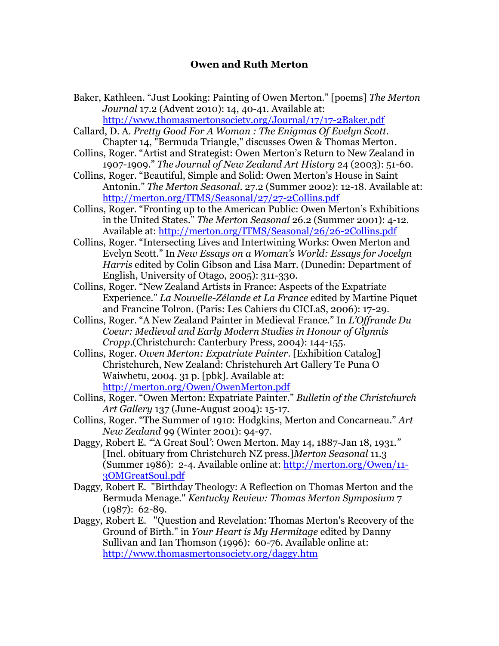## **Owen and Ruth Merton**

- Baker, Kathleen. "Just Looking: Painting of Owen Merton." [poems] *The Merton Journal* 17.2 (Advent 2010): 14, 40-41. Available at: <http://www.thomasmertonsociety.org/Journal/17/17-2Baker.pdf>
- Callard, D. A. *Pretty Good For A Woman : The Enigmas Of Evelyn Scott*. Chapter 14, "Bermuda Triangle," discusses Owen & Thomas Merton.
- Collins, Roger. "Artist and Strategist: Owen Merton's Return to New Zealand in 1907-1909." *The Journal of New Zealand Art History* 24 (2003): 51-60.
- Collins, Roger. "Beautiful, Simple and Solid: Owen Merton's House in Saint Antonin." *The Merton Seasonal*. 27.2 (Summer 2002): 12-18. Available at: <http://merton.org/ITMS/Seasonal/27/27-2Collins.pdf>
- Collins, Roger. "Fronting up to the American Public: Owen Merton's Exhibitions in the United States." *The Merton Seasonal* 26.2 (Summer 2001): 4-12. Available at:<http://merton.org/ITMS/Seasonal/26/26-2Collins.pdf>
- Collins, Roger. "Intersecting Lives and Intertwining Works: Owen Merton and Evelyn Scott." In *New Essays on a Woman's World: Essays for Jocelyn Harris* edited by Colin Gibson and Lisa Marr. (Dunedin: Department of English, University of Otago, 2005): 311-330.
- Collins, Roger. "New Zealand Artists in France: Aspects of the Expatriate Experience." *La Nouvelle-Zélande et La France* edited by Martine Piquet and Francine Tolron. (Paris: Les Cahiers du CICLaS, 2006): 17-29.
- Collins, Roger. "A New Zealand Painter in Medieval France." In *L'Offrande Du Coeur: Medieval and Early Modern Studies in Honour of Glynnis Cropp*.(Christchurch: Canterbury Press, 2004): 144-155.
- Collins, Roger. *Owen Merton: Expatriate Painter*. [Exhibition Catalog] Christchurch, New Zealand: Christchurch Art Gallery Te Puna O Waiwhetu, 2004. 31 p. [pbk]. Available at: <http://merton.org/Owen/OwenMerton.pdf>
- Collins, Roger. "Owen Merton: Expatriate Painter." *Bulletin of the Christchurch Art Gallery* 137 (June-August 2004): 15-17.
- Collins, Roger. "The Summer of 1910: Hodgkins, Merton and Concarneau." *Art New Zealand* 99 (Winter 2001): 94-97.
- Daggy*,* Robert E. *"'*A Great Soul*'*: Owen Merton. May 14*,* 1887-Jan 18*,* 1931.*"* [Incl. obituary from Christchurch NZ press.]*Merton Seasonal* 11.3 (Summer 1986): 2-4. Available online at: [http://merton.org/Owen/11-](http://merton.org/Owen/11-3OMGreatSoul.pdf) [3OMGreatSoul.pdf](http://merton.org/Owen/11-3OMGreatSoul.pdf)
- Daggy*,* Robert E. "Birthday Theology: A Reflection on Thomas Merton and the Bermuda Menage." *Kentucky Review: Thomas Merton Symposium* 7 (1987): 62-89.
- Daggy*,* Robert E. "Question and Revelation: Thomas Merton's Recovery of the Ground of Birth." in *Your Heart is My Hermitage* edited by Danny Sullivan and Ian Thomson (1996): 60-76. Available online at: <http://www.thomasmertonsociety.org/daggy.htm>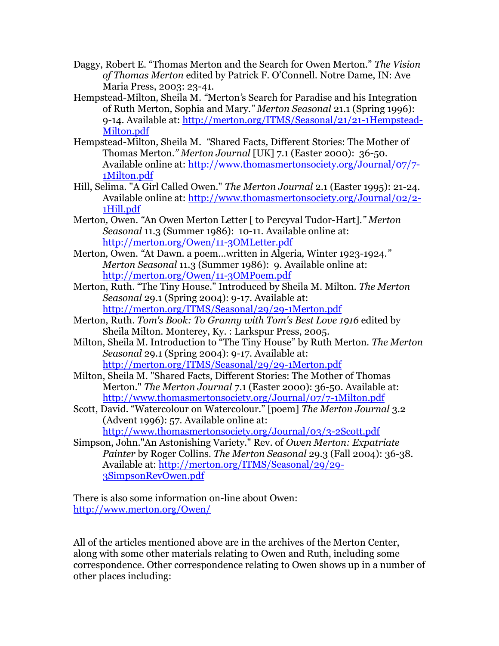- Daggy, Robert E. "Thomas Merton and the Search for Owen Merton." *The Vision of Thomas Merton* edited by Patrick F. O'Connell. Notre Dame, IN: Ave Maria Press, 2003: 23-41.
- Hempstead-Milton*,* Sheila M. *"*Merton*'*s Search for Paradise and his Integration of Ruth Merton*,* Sophia and Mary.*" Merton Seasonal* 21.1 (Spring 1996): 9-14. Available at: [http://merton.org/ITMS/Seasonal/21/21-1Hempstead-](http://merton.org/ITMS/Seasonal/21/21-1Hempstead-Milton.pdf)[Milton.pdf](http://merton.org/ITMS/Seasonal/21/21-1Hempstead-Milton.pdf)
- Hempstead-Milton*,* Sheila M. *"*Shared Facts*,* Different Stories: The Mother of Thomas Merton.*" Merton Journal* [UK] 7.1 (Easter 2000): 36-50. Available online at: [http://www.thomasmertonsociety.org/Journal/07/7-](http://www.thomasmertonsociety.org/Journal/07/7-1Milton.pdf) [1Milton.pdf](http://www.thomasmertonsociety.org/Journal/07/7-1Milton.pdf)
- Hill, Selima. "A Girl Called Owen." *The Merton Journal* 2.1 (Easter 1995): 21-24. Available online at: [http://www.thomasmertonsociety.org/Journal/02/2-](http://www.thomasmertonsociety.org/Journal/02/2-1Hill.pdf) [1Hill.pdf](http://www.thomasmertonsociety.org/Journal/02/2-1Hill.pdf)
- Merton*,* Owen. *"*An Owen Merton Letter [ to Percyval Tudor-Hart].*" Merton Seasonal* 11.3 (Summer 1986): 10-11. Available online at: <http://merton.org/Owen/11-3OMLetter.pdf>
- Merton*,* Owen. *"*At Dawn. a poem…written in Algeria*,* Winter 1923-1924.*" Merton Seasonal* 11.3 (Summer 1986): 9. Available online at: <http://merton.org/Owen/11-3OMPoem.pdf>
- Merton, Ruth. "The Tiny House." Introduced by Sheila M. Milton. *The Merton Seasonal* 29.1 (Spring 2004): 9-17. Available at: <http://merton.org/ITMS/Seasonal/29/29-1Merton.pdf>
- Merton, Ruth. *Tom's Book: To Granny with Tom's Best Love 1916* edited by Sheila Milton. Monterey, Ky. : Larkspur Press, 2005.
- Milton, Sheila M. Introduction to "The Tiny House" by Ruth Merton. *The Merton Seasonal* 29.1 (Spring 2004): 9-17. Available at: <http://merton.org/ITMS/Seasonal/29/29-1Merton.pdf>
- Milton, Sheila M. "Shared Facts, Different Stories: The Mother of Thomas Merton." *The Merton Journal* 7.1 (Easter 2000): 36-50. Available at: <http://www.thomasmertonsociety.org/Journal/07/7-1Milton.pdf>
- Scott, David. "Watercolour on Watercolour." [poem] *The Merton Journal* 3.2 (Advent 1996): 57. Available online at:

<http://www.thomasmertonsociety.org/Journal/03/3-2Scott.pdf>

Simpson, John."An Astonishing Variety." Rev. of *Owen Merton: Expatriate Painter* by Roger Collins. *The Merton Seasonal* 29.3 (Fall 2004): 36-38. Available at: [http://merton.org/ITMS/Seasonal/29/29-](http://merton.org/ITMS/Seasonal/29/29-3SimpsonRevOwen.pdf) [3SimpsonRevOwen.pdf](http://merton.org/ITMS/Seasonal/29/29-3SimpsonRevOwen.pdf)

There is also some information on-line about Owen: <http://www.merton.org/Owen/>

All of the articles mentioned above are in the archives of the Merton Center, along with some other materials relating to Owen and Ruth, including some correspondence. Other correspondence relating to Owen shows up in a number of other places including: